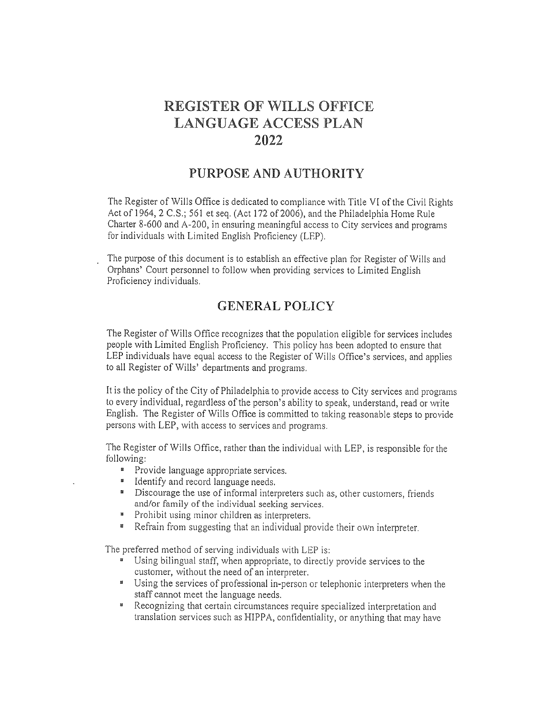# **REGISTER OF WILLS OFFICE LANGUAGE ACCESS PLAN**  $2022$

## PURPOSE AND AUTHORITY

The Register of Wills Office is dedicated to compliance with Title VI of the Civil Rights Act of 1964, 2 C.S.; 561 et seq. (Act 172 of 2006), and the Philadelphia Home Rule Charter 8-600 and A-200, in ensuring meaningful access to City services and programs for individuals with Limited English Proficiency (LEP).

The purpose of this document is to establish an effective plan for Register of Wills and Orphans' Court personnel to follow when providing services to Limited English Proficiency individuals.

## **GENERAL POLICY**

The Register of Wills Office recognizes that the population eligible for services includes people with Limited English Proficiency. This policy has been adopted to ensure that LEP individuals have equal access to the Register of Wills Office's services, and applies to all Register of Wills' departments and programs.

It is the policy of the City of Philadelphia to provide access to City services and programs to every individual, regardless of the person's ability to speak, understand, read or write English. The Register of Wills Office is committed to taking reasonable steps to provide persons with LEP, with access to services and programs.

The Register of Wills Office, rather than the individual with LEP, is responsible for the following:

- " Provide language appropriate services.
- " Identify and record language needs.
- " Discourage the use of informal interpreters such as, other customers, friends and/or family of the individual seeking services.
- $\mathbf{B}$ Prohibit using minor children as interpreters.
- Refrain from suggesting that an individual provide their own interpreter. **第二**

The preferred method of serving individuals with LEP is:

- " Using bilingual staff, when appropriate, to directly provide services to the customer, without the need of an interpreter.
- " Using the services of professional in-person or telephonic interpreters when the staff cannot meet the language needs.
- **EXECUTE:** Recognizing that certain circumstances require specialized interpretation and translation services such as HIPPA, confidentiality, or anything that may have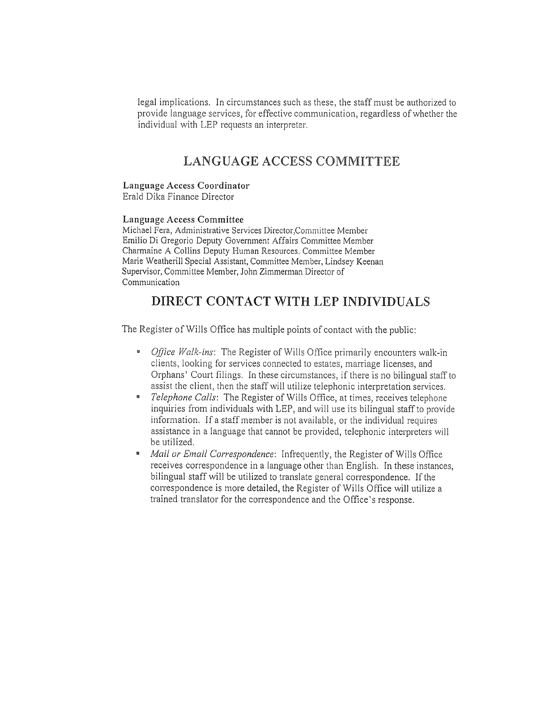legal implications. In circumstances such as these, the staff must be authorized to provide language services, for effective communication, regardless of whether the individual with LEP requests an interpreter.

## LANGUAGE ACCESS COMMITTEE

#### Language Access Coordinator

Erald Dika Finance Director

#### Language Access Committee

Michael Fera, Administrative Services Director, Committee Member Emilio Di Gregorio Deputy Government Affairs Committee Member Charmaine A Collins Deputy Human Resources, Committee Member Marie Weatherill Special Assistant, Committee Member, Lindsey Keenan Supervisor, Committee Member, John Zimmerman Director of Communication

## DIRECT CONTACT WITH LEP INDIVIDUALS

The Register of Wills Office has multiple points of contact with the public:

- " Office Walk-ins: The Register of Wills Office primarily encounters walk-in clients, looking for services connected to estates, marriage licenses, and Orphans' Court filings. In these circumstances, if there is no bilingual staff to assist the client, then the staff will utilize telephonic interpretation services.
- $\mathbf{r}$ Telephone Calls: The Register of Wills Office, at times, receives telephone inquiries from individuals with LEP, and will use its bilingual staff to provide information. If a staff member is not available, or the individual requires assistance in a language that cannot be provided, telephonic interpreters will be utilized.
- Mail or Email Correspondence: Infrequently, the Register of Wills Office  $\mathbf{B}$ receives correspondence in a language other than English. In these instances, bilingual staff will be utilized to translate general correspondence. If the correspondence is more detailed, the Register of Wills Office will utilize a trained translator for the correspondence and the Office's response.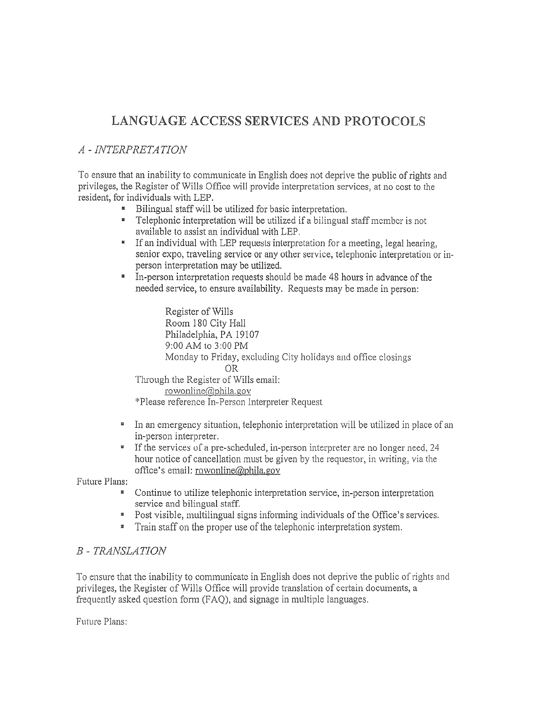# LANGUAGE ACCESS SERVICES AND PROTOCOLS

### A - INTERPRETATION

To ensure that an inability to communicate in English does not deprive the public of rights and privileges, the Register of Wills Office will provide interpretation services, at no cost to the resident, for individuals with LEP.

- " Bilingual staff will be utilized for basic interpretation.
- **EXECUTE:** Telephonic interpretation will be utilized if a bilingual staff member is not available to assist an individual with LEP.
- " If an individual with LEP requests interpretation for a meeting, legal hearing, senior expo, traveling service or any other service, telephonic interpretation or inperson interpretation may be utilized.
- $\blacksquare$ In-person interpretation requests should be made 48 hours in advance of the needed service, to ensure availability. Requests may be made in person:

Register of Wills Room 180 City Hall Philadelphia, PA 19107 9:00 AM to 3:00 PM Monday to Friday, excluding City holidays and office closings **OR** Through the Register of Wills email: rowonline@phila.gov

\*Please reference In-Person Interpreter Request

- In an emergency situation, telephonic interpretation will be utilized in place of an  $\,$   $\,$ in-person interpreter.
- " If the services of a pre-scheduled, in-person interpreter are no longer need, 24 hour notice of cancellation must be given by the requestor, in writing, via the office's email: rowonline@phila.gov

Future Plans:

- Continue to utilize telephonic interpretation service, in-person interpretation service and bilingual staff.
- " Post visible, multilingual signs informing individuals of the Office's services.
- Train staff on the proper use of the telephonic interpretation system.

### **B** - TRANSLATION

To ensure that the inability to communicate in English does not deprive the public of rights and privileges, the Register of Wills Office will provide translation of certain documents, a frequently asked question form (FAQ), and signage in multiple languages.

Future Plans: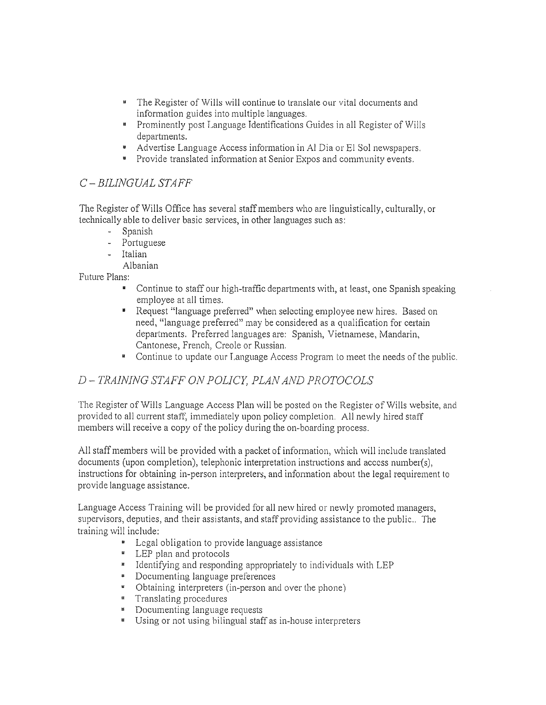- " The Register of Wills will continue to translate our vital documents and information guides into multiple languages.
- **EXECUTE:** Prominently post Language Identifications Guides in all Register of Wills departments.
- \* Advertise Language Access information in Al Dia or El Sol newspapers.
- " Provide translated information at Senior Expos and community events.

### C-BILINGUAL STAFF

The Register of Wills Office has several staff members who are linguistically, culturally, or technically able to deliver basic services, in other languages such as:

- Spanish

- Portuguese
- Italian
- Albanian

Future Plans:

- Continue to staff our high-traffic departments with, at least, one Spanish speaking employee at all times.
- Request "language preferred" when selecting employee new hires. Based on need, "language preferred" may be considered as a qualification for certain departments. Preferred languages are: Spanish, Vietnamese, Mandarin, Cantonese, French, Creole or Russian.
- " Continue to update our Language Access Program to meet the needs of the public.

### D-TRAINING STAFF ON POLICY, PLAN AND PROTOCOLS

The Register of Wills Language Access Plan will be posted on the Register of Wills website, and provided to all current staff, immediately upon policy completion. All newly hired staff members will receive a copy of the policy during the on-boarding process.

All staff members will be provided with a packet of information, which will include translated documents (upon completion), telephonic interpretation instructions and access number(s), instructions for obtaining in-person interpreters, and information about the legal requirement to provide language assistance.

Language Access Training will be provided for all new hired or newly promoted managers, supervisors, deputies, and their assistants, and staff providing assistance to the public.. The training will include:

- Legal obligation to provide language assistance
- **EXECUTE:** LEP plan and protocols
- " Identifying and responding appropriately to individuals with LEP
- Documenting language preferences
- Obtaining interpreters (in-person and over the phone)
- " Translating procedures
- **E** Documenting language requests
- **Using or not using bilingual staff as in-house interpreters**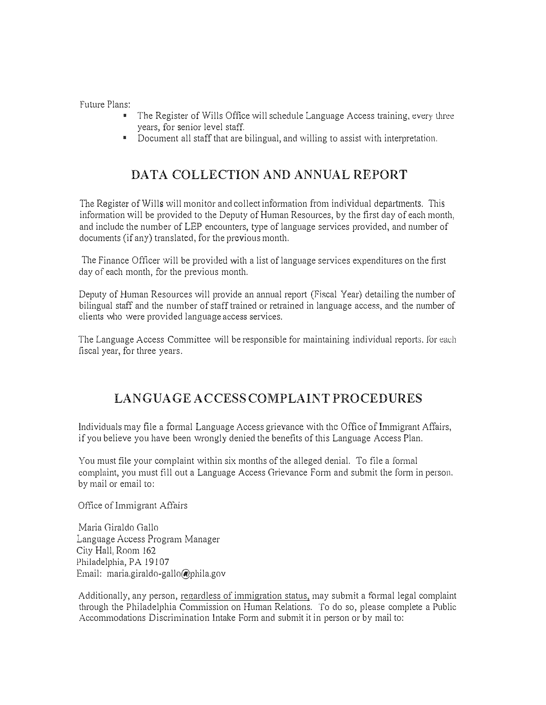future Plans:

- The Register of Wills Office will schedule Language Access training, every three years, for senior level staff.
- Document all staff that are bilingual, and willing to assist with interpretation.

# DATA COLLECTION AND ANNUAL REPORT

The Register of Wills will monitor and collect information from individual departments. This information will be provided to the Deputy of Human Resources, by the first day of each month, and include the number of LEP encounters, type of language services provided, and number of documents (if any) translated, for the previous month.

The Finance Officer will be provided with a list of language services expenditures on the first day of each month, for the previous month.

Deputy of Human Resources will provide an annual report (Fiscal Year) detailing the number of bilingual staff and the number of staff trained or retrained in language access, and the number of clients who were provided languageaccess services.

The Language Access Committee will be responsible for maintaining individual reports. for each fiscal year, for three years.

# LANGUAGE ACCESS COMPLAINT PROCEDURES

Individuals may file a formal Language Access grievance with the Office of Immigrant Affairs, if you believe you have been wrongly denied the benefits of this Language Access Plan.

You must file your complaint within six months of the alleged denial. To file a formal complaint, you must fill out a Language Access Grievance Form and submit the form in person. by mail or email to:

Office of Immigrant Affairs

Maria Giraldo Gallo Language Access Program Manager City Hall, Room 162 Philadelphia, PA 19107 Email: maria.giraldo-gallo@phila.gov

Additionally, any person, regardless of immigration status, may submit a formal legal complaint through the Philadelphia Commission on Human Relations. To do so, please complete a Public Accommodations Discrimination Intake Form and submit it in person or by mail to: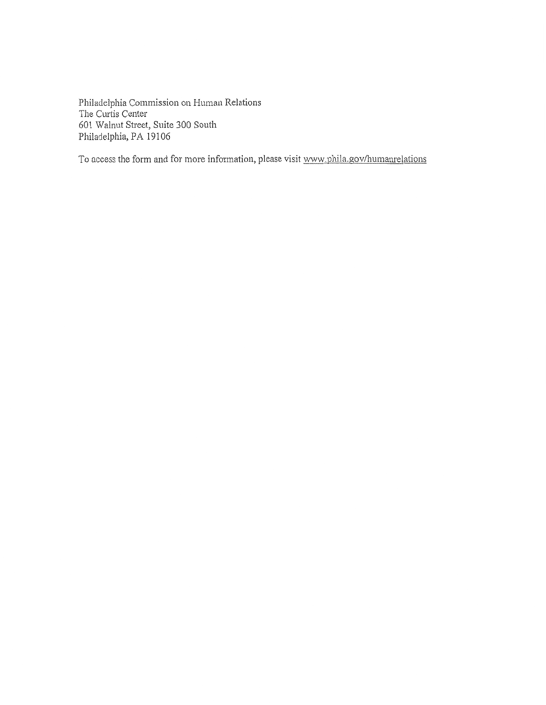Philadelphia Commission on Human Relations The Curtis Center 601 Walnut Street, Suite 300 South Philadelphia, PA 19106

To access the form and for more information, please visit www.phila.gov/humanrelations